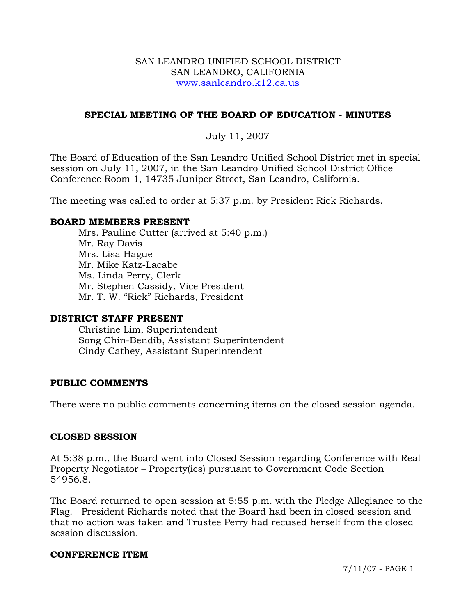#### SAN LEANDRO UNIFIED SCHOOL DISTRICT SAN LEANDRO, CALIFORNIA www.sanleandro.k12.ca.us

## **SPECIAL MEETING OF THE BOARD OF EDUCATION - MINUTES**

## July 11, 2007

The Board of Education of the San Leandro Unified School District met in special session on July 11, 2007, in the San Leandro Unified School District Office Conference Room 1, 14735 Juniper Street, San Leandro, California.

The meeting was called to order at 5:37 p.m. by President Rick Richards.

### **BOARD MEMBERS PRESENT**

Mrs. Pauline Cutter (arrived at 5:40 p.m.) Mr. Ray Davis Mrs. Lisa Hague Mr. Mike Katz-Lacabe Ms. Linda Perry, Clerk Mr. Stephen Cassidy, Vice President Mr. T. W. "Rick" Richards, President

#### **DISTRICT STAFF PRESENT**

Christine Lim, Superintendent Song Chin-Bendib, Assistant Superintendent Cindy Cathey, Assistant Superintendent

## **PUBLIC COMMENTS**

There were no public comments concerning items on the closed session agenda.

## **CLOSED SESSION**

At 5:38 p.m., the Board went into Closed Session regarding Conference with Real Property Negotiator – Property(ies) pursuant to Government Code Section 54956.8.

The Board returned to open session at 5:55 p.m. with the Pledge Allegiance to the Flag. President Richards noted that the Board had been in closed session and that no action was taken and Trustee Perry had recused herself from the closed session discussion.

#### **CONFERENCE ITEM**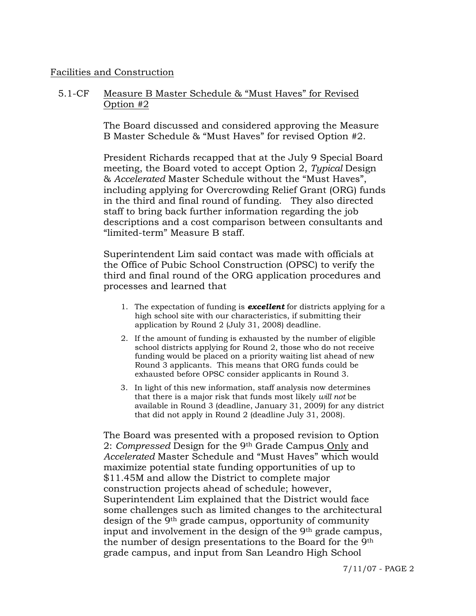#### Facilities and Construction

#### 5.1-CF Measure B Master Schedule & "Must Haves" for Revised Option #2

The Board discussed and considered approving the Measure B Master Schedule & "Must Haves" for revised Option #2.

President Richards recapped that at the July 9 Special Board meeting, the Board voted to accept Option 2, *Typical* Design & *Accelerated* Master Schedule without the "Must Haves", including applying for Overcrowding Relief Grant (ORG) funds in the third and final round of funding. They also directed staff to bring back further information regarding the job descriptions and a cost comparison between consultants and "limited-term" Measure B staff.

Superintendent Lim said contact was made with officials at the Office of Pubic School Construction (OPSC) to verify the third and final round of the ORG application procedures and processes and learned that

- 1. The expectation of funding is *excellent* for districts applying for a high school site with our characteristics, if submitting their application by Round 2 (July 31, 2008) deadline.
- 2. If the amount of funding is exhausted by the number of eligible school districts applying for Round 2, those who do not receive funding would be placed on a priority waiting list ahead of new Round 3 applicants. This means that ORG funds could be exhausted before OPSC consider applicants in Round 3.
- 3. In light of this new information, staff analysis now determines that there is a major risk that funds most likely *will not* be available in Round 3 (deadline, January 31, 2009) for any district that did not apply in Round 2 (deadline July 31, 2008).

The Board was presented with a proposed revision to Option 2: *Compressed* Design for the 9th Grade Campus Only and *Accelerated* Master Schedule and "Must Haves" which would maximize potential state funding opportunities of up to \$11.45M and allow the District to complete major construction projects ahead of schedule; however, Superintendent Lim explained that the District would face some challenges such as limited changes to the architectural design of the 9th grade campus, opportunity of community input and involvement in the design of the 9<sup>th</sup> grade campus, the number of design presentations to the Board for the 9th grade campus, and input from San Leandro High School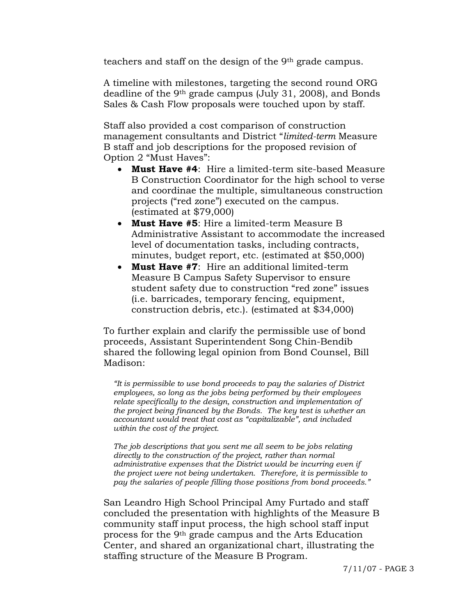teachers and staff on the design of the 9th grade campus.

A timeline with milestones, targeting the second round ORG deadline of the 9th grade campus (July 31, 2008), and Bonds Sales & Cash Flow proposals were touched upon by staff.

Staff also provided a cost comparison of construction management consultants and District "*limited-term* Measure B staff and job descriptions for the proposed revision of Option 2 "Must Haves":

- **Must Have #4**: Hire a limited-term site-based Measure B Construction Coordinator for the high school to verse and coordinae the multiple, simultaneous construction projects ("red zone") executed on the campus. (estimated at \$79,000)
- **Must Have #5**: Hire a limited-term Measure B Administrative Assistant to accommodate the increased level of documentation tasks, including contracts, minutes, budget report, etc. (estimated at \$50,000)
- **Must Have #7**: Hire an additional limited-term Measure B Campus Safety Supervisor to ensure student safety due to construction "red zone" issues (i.e. barricades, temporary fencing, equipment, construction debris, etc.). (estimated at \$34,000)

To further explain and clarify the permissible use of bond proceeds, Assistant Superintendent Song Chin-Bendib shared the following legal opinion from Bond Counsel, Bill Madison:

*"It is permissible to use bond proceeds to pay the salaries of District employees, so long as the jobs being performed by their employees relate specifically to the design, construction and implementation of the project being financed by the Bonds. The key test is whether an accountant would treat that cost as "capitalizable", and included within the cost of the project.* 

*The job descriptions that you sent me all seem to be jobs relating directly to the construction of the project, rather than normal administrative expenses that the District would be incurring even if the project were not being undertaken. Therefore, it is permissible to pay the salaries of people filling those positions from bond proceeds."* 

San Leandro High School Principal Amy Furtado and staff concluded the presentation with highlights of the Measure B community staff input process, the high school staff input process for the 9th grade campus and the Arts Education Center, and shared an organizational chart, illustrating the staffing structure of the Measure B Program.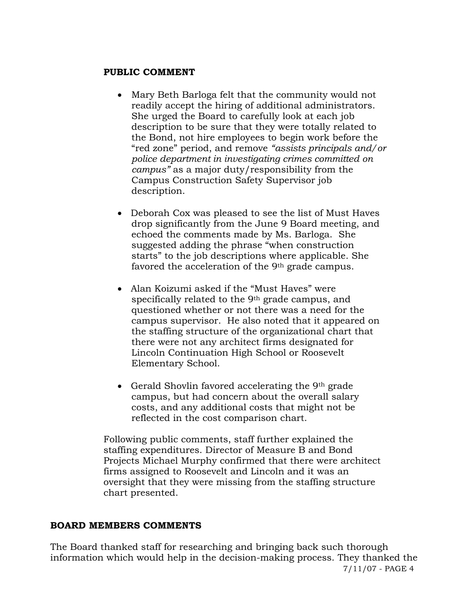#### **PUBLIC COMMENT**

- Mary Beth Barloga felt that the community would not readily accept the hiring of additional administrators. She urged the Board to carefully look at each job description to be sure that they were totally related to the Bond, not hire employees to begin work before the "red zone" period, and remove *"assists principals and/or police department in investigating crimes committed on campus"* as a major duty/responsibility from the Campus Construction Safety Supervisor job description.
- Deborah Cox was pleased to see the list of Must Haves drop significantly from the June 9 Board meeting, and echoed the comments made by Ms. Barloga. She suggested adding the phrase "when construction starts" to the job descriptions where applicable. She favored the acceleration of the 9<sup>th</sup> grade campus.
- Alan Koizumi asked if the "Must Haves" were specifically related to the 9th grade campus, and questioned whether or not there was a need for the campus supervisor. He also noted that it appeared on the staffing structure of the organizational chart that there were not any architect firms designated for Lincoln Continuation High School or Roosevelt Elementary School.
- Gerald Shovlin favored accelerating the 9<sup>th</sup> grade campus, but had concern about the overall salary costs, and any additional costs that might not be reflected in the cost comparison chart.

Following public comments, staff further explained the staffing expenditures. Director of Measure B and Bond Projects Michael Murphy confirmed that there were architect firms assigned to Roosevelt and Lincoln and it was an oversight that they were missing from the staffing structure chart presented.

#### **BOARD MEMBERS COMMENTS**

7/11/07 - PAGE 4 The Board thanked staff for researching and bringing back such thorough information which would help in the decision-making process. They thanked the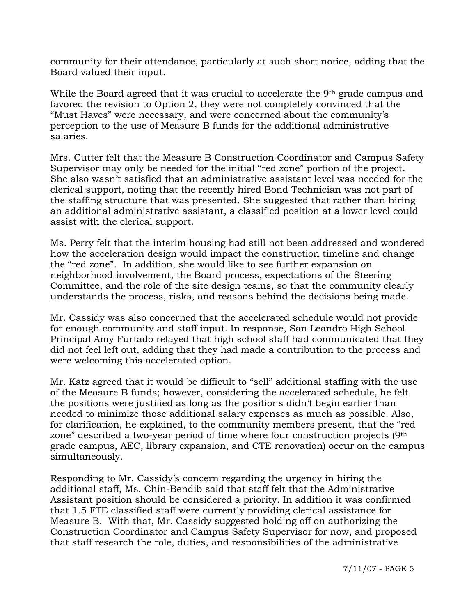community for their attendance, particularly at such short notice, adding that the Board valued their input.

While the Board agreed that it was crucial to accelerate the 9<sup>th</sup> grade campus and favored the revision to Option 2, they were not completely convinced that the "Must Haves" were necessary, and were concerned about the community's perception to the use of Measure B funds for the additional administrative salaries.

Mrs. Cutter felt that the Measure B Construction Coordinator and Campus Safety Supervisor may only be needed for the initial "red zone" portion of the project. She also wasn't satisfied that an administrative assistant level was needed for the clerical support, noting that the recently hired Bond Technician was not part of the staffing structure that was presented. She suggested that rather than hiring an additional administrative assistant, a classified position at a lower level could assist with the clerical support.

Ms. Perry felt that the interim housing had still not been addressed and wondered how the acceleration design would impact the construction timeline and change the "red zone". In addition, she would like to see further expansion on neighborhood involvement, the Board process, expectations of the Steering Committee, and the role of the site design teams, so that the community clearly understands the process, risks, and reasons behind the decisions being made.

Mr. Cassidy was also concerned that the accelerated schedule would not provide for enough community and staff input. In response, San Leandro High School Principal Amy Furtado relayed that high school staff had communicated that they did not feel left out, adding that they had made a contribution to the process and were welcoming this accelerated option.

Mr. Katz agreed that it would be difficult to "sell" additional staffing with the use of the Measure B funds; however, considering the accelerated schedule, he felt the positions were justified as long as the positions didn't begin earlier than needed to minimize those additional salary expenses as much as possible. Also, for clarification, he explained, to the community members present, that the "red zone" described a two-year period of time where four construction projects (9th grade campus, AEC, library expansion, and CTE renovation) occur on the campus simultaneously.

Responding to Mr. Cassidy's concern regarding the urgency in hiring the additional staff, Ms. Chin-Bendib said that staff felt that the Administrative Assistant position should be considered a priority. In addition it was confirmed that 1.5 FTE classified staff were currently providing clerical assistance for Measure B. With that, Mr. Cassidy suggested holding off on authorizing the Construction Coordinator and Campus Safety Supervisor for now, and proposed that staff research the role, duties, and responsibilities of the administrative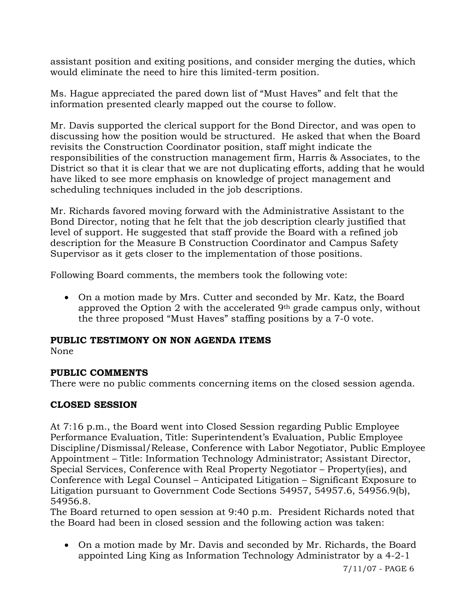assistant position and exiting positions, and consider merging the duties, which would eliminate the need to hire this limited-term position.

Ms. Hague appreciated the pared down list of "Must Haves" and felt that the information presented clearly mapped out the course to follow.

Mr. Davis supported the clerical support for the Bond Director, and was open to discussing how the position would be structured. He asked that when the Board revisits the Construction Coordinator position, staff might indicate the responsibilities of the construction management firm, Harris & Associates, to the District so that it is clear that we are not duplicating efforts, adding that he would have liked to see more emphasis on knowledge of project management and scheduling techniques included in the job descriptions.

Mr. Richards favored moving forward with the Administrative Assistant to the Bond Director, noting that he felt that the job description clearly justified that level of support. He suggested that staff provide the Board with a refined job description for the Measure B Construction Coordinator and Campus Safety Supervisor as it gets closer to the implementation of those positions.

Following Board comments, the members took the following vote:

• On a motion made by Mrs. Cutter and seconded by Mr. Katz, the Board approved the Option 2 with the accelerated 9th grade campus only, without the three proposed "Must Haves" staffing positions by a 7-0 vote.

# **PUBLIC TESTIMONY ON NON AGENDA ITEMS**

None

# **PUBLIC COMMENTS**

There were no public comments concerning items on the closed session agenda.

# **CLOSED SESSION**

At 7:16 p.m., the Board went into Closed Session regarding Public Employee Performance Evaluation, Title: Superintendent's Evaluation, Public Employee Discipline/Dismissal/Release, Conference with Labor Negotiator, Public Employee Appointment – Title: Information Technology Administrator; Assistant Director, Special Services, Conference with Real Property Negotiator – Property(ies), and Conference with Legal Counsel – Anticipated Litigation – Significant Exposure to Litigation pursuant to Government Code Sections 54957, 54957.6, 54956.9(b), 54956.8.

The Board returned to open session at 9:40 p.m. President Richards noted that the Board had been in closed session and the following action was taken:

• On a motion made by Mr. Davis and seconded by Mr. Richards, the Board appointed Ling King as Information Technology Administrator by a 4-2-1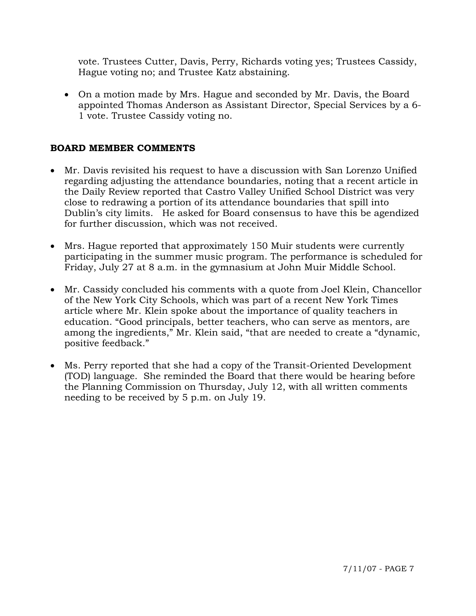vote. Trustees Cutter, Davis, Perry, Richards voting yes; Trustees Cassidy, Hague voting no; and Trustee Katz abstaining.

• On a motion made by Mrs. Hague and seconded by Mr. Davis, the Board appointed Thomas Anderson as Assistant Director, Special Services by a 6- 1 vote. Trustee Cassidy voting no.

## **BOARD MEMBER COMMENTS**

- Mr. Davis revisited his request to have a discussion with San Lorenzo Unified regarding adjusting the attendance boundaries, noting that a recent article in the Daily Review reported that Castro Valley Unified School District was very close to redrawing a portion of its attendance boundaries that spill into Dublin's city limits. He asked for Board consensus to have this be agendized for further discussion, which was not received.
- Mrs. Hague reported that approximately 150 Muir students were currently participating in the summer music program. The performance is scheduled for Friday, July 27 at 8 a.m. in the gymnasium at John Muir Middle School.
- Mr. Cassidy concluded his comments with a quote from Joel Klein, Chancellor of the New York City Schools, which was part of a recent New York Times article where Mr. Klein spoke about the importance of quality teachers in education. "Good principals, better teachers, who can serve as mentors, are among the ingredients," Mr. Klein said, "that are needed to create a "dynamic, positive feedback."
- Ms. Perry reported that she had a copy of the Transit-Oriented Development (TOD) language. She reminded the Board that there would be hearing before the Planning Commission on Thursday, July 12, with all written comments needing to be received by 5 p.m. on July 19.